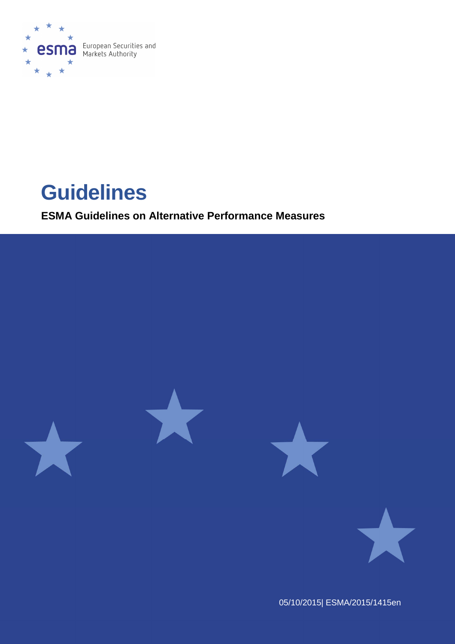

# **Guidelines**

**ESMA Guidelines on Alternative Performance Measures**



05/10/2015| ESMA/2015/1415en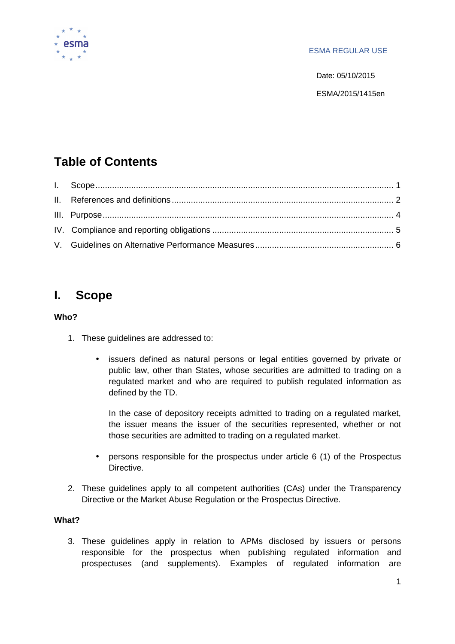

### ESMA REGULAR USE

Date: 05/10/2015

ESMA/2015/1415en

# **Table of Contents**

# **I. Scope**

# **Who?**

- 1. These guidelines are addressed to:
	- issuers defined as natural persons or legal entities governed by private or public law, other than States, whose securities are admitted to trading on a regulated market and who are required to publish regulated information as defined by the TD.

In the case of depository receipts admitted to trading on a regulated market, the issuer means the issuer of the securities represented, whether or not those securities are admitted to trading on a regulated market.

- persons responsible for the prospectus under article 6 (1) of the Prospectus Directive.
- 2. These guidelines apply to all competent authorities (CAs) under the Transparency Directive or the Market Abuse Regulation or the Prospectus Directive.

# **What?**

3. These guidelines apply in relation to APMs disclosed by issuers or persons responsible for the prospectus when publishing regulated information and prospectuses (and supplements). Examples of regulated information are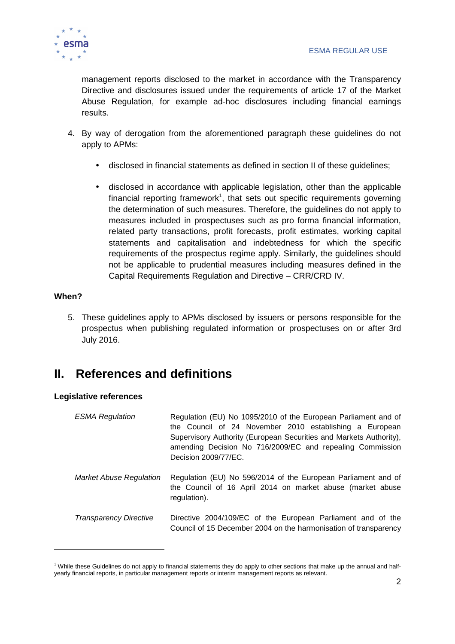

management reports disclosed to the market in accordance with the Transparency Directive and disclosures issued under the requirements of article 17 of the Market Abuse Regulation, for example ad-hoc disclosures including financial earnings results.

- 4. By way of derogation from the aforementioned paragraph these guidelines do not apply to APMs:
	- disclosed in financial statements as defined in section II of these guidelines;
	- disclosed in accordance with applicable legislation, other than the applicable financial reporting framework<sup>1</sup>, that sets out specific requirements governing the determination of such measures. Therefore, the guidelines do not apply to measures included in prospectuses such as pro forma financial information, related party transactions, profit forecasts, profit estimates, working capital statements and capitalisation and indebtedness for which the specific requirements of the prospectus regime apply. Similarly, the guidelines should not be applicable to prudential measures including measures defined in the Capital Requirements Regulation and Directive – CRR/CRD IV.

# **When?**

5. These guidelines apply to APMs disclosed by issuers or persons responsible for the prospectus when publishing regulated information or prospectuses on or after 3rd July 2016.

# **II. References and definitions**

# **Legislative references**

| <b>ESMA Regulation</b>         | Regulation (EU) No 1095/2010 of the European Parliament and of<br>the Council of 24 November 2010 establishing a European<br>Supervisory Authority (European Securities and Markets Authority),<br>amending Decision No 716/2009/EC and repealing Commission<br>Decision 2009/77/EC. |
|--------------------------------|--------------------------------------------------------------------------------------------------------------------------------------------------------------------------------------------------------------------------------------------------------------------------------------|
| <b>Market Abuse Regulation</b> | Regulation (EU) No 596/2014 of the European Parliament and of<br>the Council of 16 April 2014 on market abuse (market abuse<br>regulation).                                                                                                                                          |
| <b>Transparency Directive</b>  | Directive 2004/109/EC of the European Parliament and of the<br>Council of 15 December 2004 on the harmonisation of transparency                                                                                                                                                      |

<sup>&</sup>lt;sup>1</sup> While these Guidelines do not apply to financial statements they do apply to other sections that make up the annual and halfyearly financial reports, in particular management reports or interim management reports as relevant.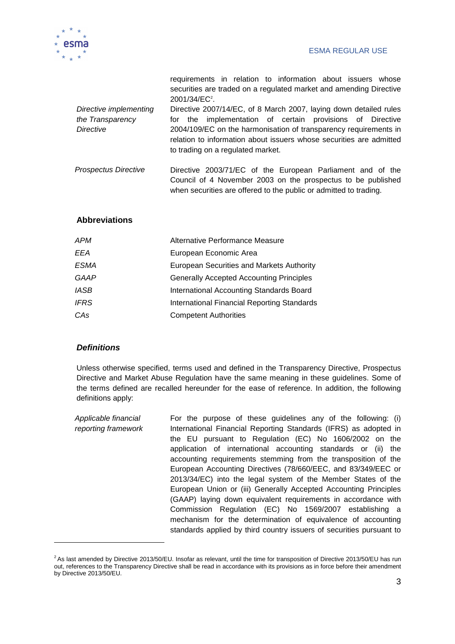

|                                                                | requirements in relation to information about issuers whose<br>securities are traded on a regulated market and amending Directive<br>2001/34/EC <sup>2</sup> .                                                                                                                                                    |
|----------------------------------------------------------------|-------------------------------------------------------------------------------------------------------------------------------------------------------------------------------------------------------------------------------------------------------------------------------------------------------------------|
| Directive implementing<br>the Transparency<br><b>Directive</b> | Directive 2007/14/EC, of 8 March 2007, laying down detailed rules<br>implementation of certain provisions of Directive<br>for the<br>2004/109/EC on the harmonisation of transparency requirements in<br>relation to information about issuers whose securities are admitted<br>to trading on a regulated market. |
| <b>Prospectus Directive</b>                                    | Directive 2003/71/EC of the European Parliament and of the<br>Council of 4 November 2003 on the prospectus to be published<br>when securities are offered to the public or admitted to trading.                                                                                                                   |

#### **Abbreviations**

| APM         | Alternative Performance Measure                  |
|-------------|--------------------------------------------------|
| EEA         | European Economic Area                           |
| ESMA        | <b>European Securities and Markets Authority</b> |
| GAAP        | <b>Generally Accepted Accounting Principles</b>  |
| <b>IASB</b> | International Accounting Standards Board         |
| <b>IFRS</b> | International Financial Reporting Standards      |
| CAs         | <b>Competent Authorities</b>                     |
|             |                                                  |

#### **Definitions**

 $\overline{a}$ 

Unless otherwise specified, terms used and defined in the Transparency Directive, Prospectus Directive and Market Abuse Regulation have the same meaning in these guidelines. Some of the terms defined are recalled hereunder for the ease of reference. In addition, the following definitions apply:

Applicable financial reporting framework For the purpose of these guidelines any of the following: (i) International Financial Reporting Standards (IFRS) as adopted in the EU pursuant to Regulation (EC) No 1606/2002 on the application of international accounting standards or (ii) the accounting requirements stemming from the transposition of the European Accounting Directives (78/660/EEC, and 83/349/EEC or 2013/34/EC) into the legal system of the Member States of the European Union or (iii) Generally Accepted Accounting Principles (GAAP) laying down equivalent requirements in accordance with Commission Regulation (EC) No 1569/2007 establishing a mechanism for the determination of equivalence of accounting standards applied by third country issuers of securities pursuant to

 $2$ As last amended by Directive 2013/50/EU. Insofar as relevant, until the time for transposition of Directive 2013/50/EU has run out, references to the Transparency Directive shall be read in accordance with its provisions as in force before their amendment by Directive 2013/50/EU.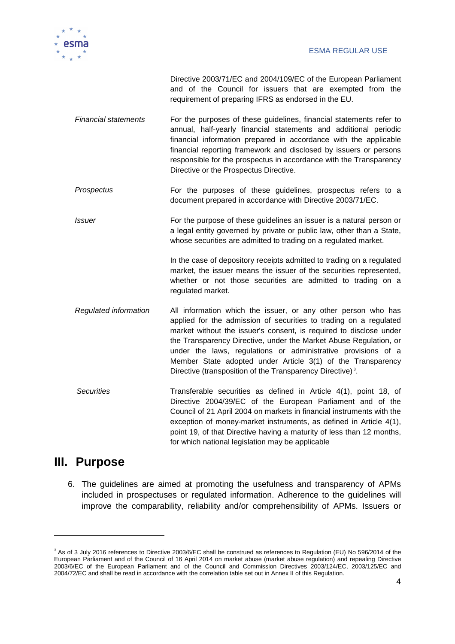

Directive 2003/71/EC and 2004/109/EC of the European Parliament and of the Council for issuers that are exempted from the requirement of preparing IFRS as endorsed in the EU.

- Financial statements For the purposes of these guidelines, financial statements refer to annual, half-yearly financial statements and additional periodic financial information prepared in accordance with the applicable financial reporting framework and disclosed by issuers or persons responsible for the prospectus in accordance with the Transparency Directive or the Prospectus Directive.
- Prospectus For the purposes of these guidelines, prospectus refers to a document prepared in accordance with Directive 2003/71/EC.
- Issuer For the purpose of these guidelines an issuer is a natural person or a legal entity governed by private or public law, other than a State, whose securities are admitted to trading on a regulated market.

In the case of depository receipts admitted to trading on a regulated market, the issuer means the issuer of the securities represented, whether or not those securities are admitted to trading on a regulated market.

- Regulated information All information which the issuer, or any other person who has applied for the admission of securities to trading on a regulated market without the issuer's consent, is required to disclose under the Transparency Directive, under the Market Abuse Regulation, or under the laws, regulations or administrative provisions of a Member State adopted under Article 3(1) of the Transparency Directive (transposition of the Transparency Directive)<sup>3</sup>.
- Securities Transferable securities as defined in Article 4(1), point 18, of Directive 2004/39/EC of the European Parliament and of the Council of 21 April 2004 on markets in financial instruments with the exception of money-market instruments, as defined in Article 4(1), point 19, of that Directive having a maturity of less than 12 months, for which national legislation may be applicable

# **III. Purpose**

6. The guidelines are aimed at promoting the usefulness and transparency of APMs included in prospectuses or regulated information. Adherence to the guidelines will improve the comparability, reliability and/or comprehensibility of APMs. Issuers or

<sup>&</sup>lt;sup>3</sup> As of 3 July 2016 references to Directive 2003/6/EC shall be construed as references to Regulation (EU) No 596/2014 of the European Parliament and of the Council of 16 April 2014 on market abuse (market abuse regulation) and repealing Directive 2003/6/EC of the European Parliament and of the Council and Commission Directives 2003/124/EC, 2003/125/EC and 2004/72/EC and shall be read in accordance with the correlation table set out in Annex II of this Regulation.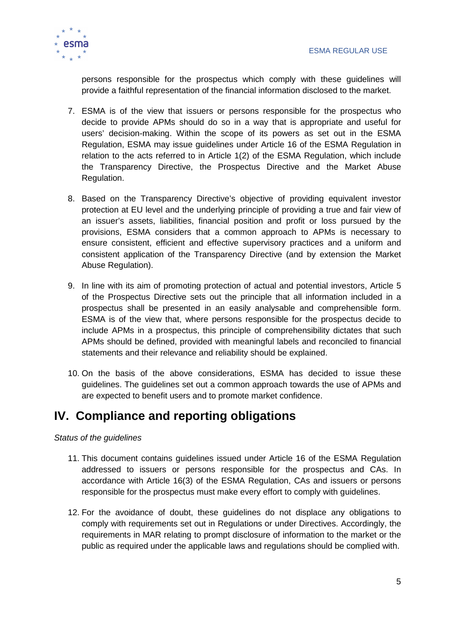

persons responsible for the prospectus which comply with these guidelines will provide a faithful representation of the financial information disclosed to the market.

- 7. ESMA is of the view that issuers or persons responsible for the prospectus who decide to provide APMs should do so in a way that is appropriate and useful for users' decision-making. Within the scope of its powers as set out in the ESMA Regulation, ESMA may issue guidelines under Article 16 of the ESMA Regulation in relation to the acts referred to in Article 1(2) of the ESMA Regulation, which include the Transparency Directive, the Prospectus Directive and the Market Abuse Regulation.
- 8. Based on the Transparency Directive's objective of providing equivalent investor protection at EU level and the underlying principle of providing a true and fair view of an issuer's assets, liabilities, financial position and profit or loss pursued by the provisions, ESMA considers that a common approach to APMs is necessary to ensure consistent, efficient and effective supervisory practices and a uniform and consistent application of the Transparency Directive (and by extension the Market Abuse Regulation).
- 9. In line with its aim of promoting protection of actual and potential investors, Article 5 of the Prospectus Directive sets out the principle that all information included in a prospectus shall be presented in an easily analysable and comprehensible form. ESMA is of the view that, where persons responsible for the prospectus decide to include APMs in a prospectus, this principle of comprehensibility dictates that such APMs should be defined, provided with meaningful labels and reconciled to financial statements and their relevance and reliability should be explained.
- 10. On the basis of the above considerations, ESMA has decided to issue these guidelines. The guidelines set out a common approach towards the use of APMs and are expected to benefit users and to promote market confidence.

# **IV. Compliance and reporting obligations**

Status of the guidelines

- 11. This document contains guidelines issued under Article 16 of the ESMA Regulation addressed to issuers or persons responsible for the prospectus and CAs. In accordance with Article 16(3) of the ESMA Regulation, CAs and issuers or persons responsible for the prospectus must make every effort to comply with guidelines.
- 12. For the avoidance of doubt, these guidelines do not displace any obligations to comply with requirements set out in Regulations or under Directives. Accordingly, the requirements in MAR relating to prompt disclosure of information to the market or the public as required under the applicable laws and regulations should be complied with.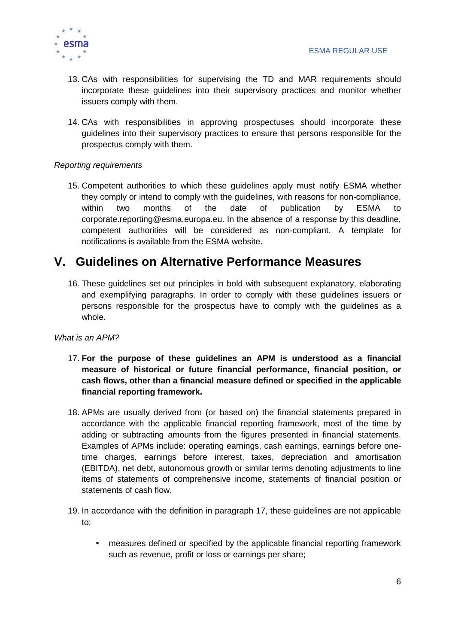

- 13. CAs with responsibilities for supervising the TD and MAR requirements should incorporate these guidelines into their supervisory practices and monitor whether issuers comply with them.
- 14. CAs with responsibilities in approving prospectuses should incorporate these guidelines into their supervisory practices to ensure that persons responsible for the prospectus comply with them.

# Reporting requirements

15. Competent authorities to which these guidelines apply must notify ESMA whether they comply or intend to comply with the guidelines, with reasons for non-compliance, within two months of the date of publication by ESMA to corporate.reporting@esma.europa.eu. In the absence of a response by this deadline, competent authorities will be considered as non-compliant. A template for notifications is available from the ESMA website.

# **V. Guidelines on Alternative Performance Measures**

16. These guidelines set out principles in bold with subsequent explanatory, elaborating and exemplifying paragraphs. In order to comply with these guidelines issuers or persons responsible for the prospectus have to comply with the guidelines as a whole.

#### What is an APM?

- 17. **For the purpose of these guidelines an APM is understood as a financial measure of historical or future financial performance, financial position, or cash flows, other than a financial measure defined or specified in the applicable financial reporting framework.**
- 18. APMs are usually derived from (or based on) the financial statements prepared in accordance with the applicable financial reporting framework, most of the time by adding or subtracting amounts from the figures presented in financial statements. Examples of APMs include: operating earnings, cash earnings, earnings before onetime charges, earnings before interest, taxes, depreciation and amortisation (EBITDA), net debt, autonomous growth or similar terms denoting adjustments to line items of statements of comprehensive income, statements of financial position or statements of cash flow.
- 19. In accordance with the definition in paragraph 17, these guidelines are not applicable to:
	- measures defined or specified by the applicable financial reporting framework such as revenue, profit or loss or earnings per share;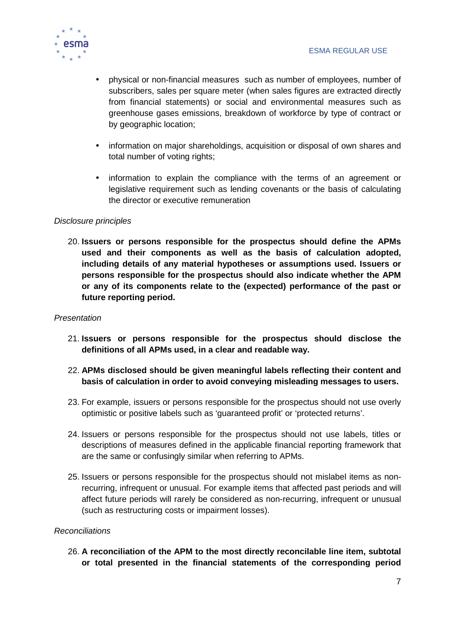

- physical or non-financial measures such as number of employees, number of subscribers, sales per square meter (when sales figures are extracted directly from financial statements) or social and environmental measures such as greenhouse gases emissions, breakdown of workforce by type of contract or by geographic location;
- information on major shareholdings, acquisition or disposal of own shares and total number of voting rights:
- information to explain the compliance with the terms of an agreement or legislative requirement such as lending covenants or the basis of calculating the director or executive remuneration

#### Disclosure principles

20. **Issuers or persons responsible for the prospectus should define the APMs used and their components as well as the basis of calculation adopted, including details of any material hypotheses or assumptions used. Issuers or persons responsible for the prospectus should also indicate whether the APM or any of its components relate to the (expected) performance of the past or future reporting period.** 

#### **Presentation**

- 21. **Issuers or persons responsible for the prospectus should disclose the definitions of all APMs used, in a clear and readable way.**
- 22. **APMs disclosed should be given meaningful labels reflecting their content and basis of calculation in order to avoid conveying misleading messages to users.**
- 23. For example, issuers or persons responsible for the prospectus should not use overly optimistic or positive labels such as 'guaranteed profit' or 'protected returns'.
- 24. Issuers or persons responsible for the prospectus should not use labels, titles or descriptions of measures defined in the applicable financial reporting framework that are the same or confusingly similar when referring to APMs.
- 25. Issuers or persons responsible for the prospectus should not mislabel items as nonrecurring, infrequent or unusual. For example items that affected past periods and will affect future periods will rarely be considered as non-recurring, infrequent or unusual (such as restructuring costs or impairment losses).

# Reconciliations

26. **A reconciliation of the APM to the most directly reconcilable line item, subtotal or total presented in the financial statements of the corresponding period**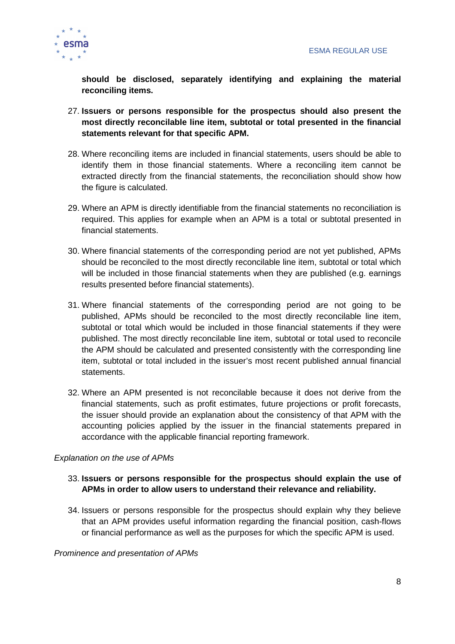

**should be disclosed, separately identifying and explaining the material reconciling items.** 

- 27. **Issuers or persons responsible for the prospectus should also present the most directly reconcilable line item, subtotal or total presented in the financial statements relevant for that specific APM.**
- 28. Where reconciling items are included in financial statements, users should be able to identify them in those financial statements. Where a reconciling item cannot be extracted directly from the financial statements, the reconciliation should show how the figure is calculated.
- 29. Where an APM is directly identifiable from the financial statements no reconciliation is required. This applies for example when an APM is a total or subtotal presented in financial statements.
- 30. Where financial statements of the corresponding period are not yet published, APMs should be reconciled to the most directly reconcilable line item, subtotal or total which will be included in those financial statements when they are published (e.g. earnings results presented before financial statements).
- 31. Where financial statements of the corresponding period are not going to be published, APMs should be reconciled to the most directly reconcilable line item, subtotal or total which would be included in those financial statements if they were published. The most directly reconcilable line item, subtotal or total used to reconcile the APM should be calculated and presented consistently with the corresponding line item, subtotal or total included in the issuer's most recent published annual financial statements.
- 32. Where an APM presented is not reconcilable because it does not derive from the financial statements, such as profit estimates, future projections or profit forecasts, the issuer should provide an explanation about the consistency of that APM with the accounting policies applied by the issuer in the financial statements prepared in accordance with the applicable financial reporting framework.

#### Explanation on the use of APMs

# 33. **Issuers or persons responsible for the prospectus should explain the use of APMs in order to allow users to understand their relevance and reliability.**

34. Issuers or persons responsible for the prospectus should explain why they believe that an APM provides useful information regarding the financial position, cash-flows or financial performance as well as the purposes for which the specific APM is used.

#### Prominence and presentation of APMs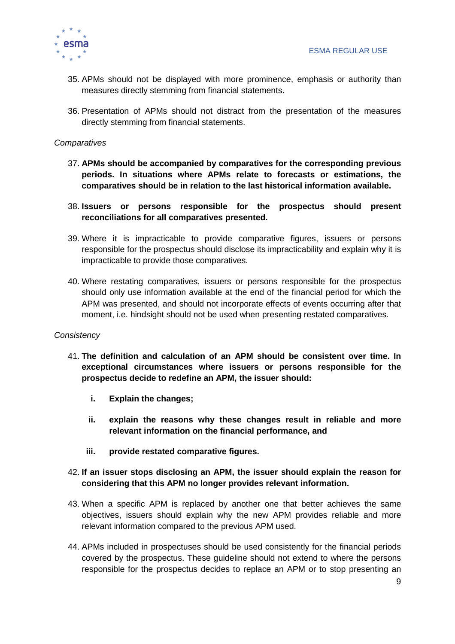

- 35. APMs should not be displayed with more prominence, emphasis or authority than measures directly stemming from financial statements.
- 36. Presentation of APMs should not distract from the presentation of the measures directly stemming from financial statements.

#### **Comparatives**

- 37. **APMs should be accompanied by comparatives for the corresponding previous periods. In situations where APMs relate to forecasts or estimations, the comparatives should be in relation to the last historical information available.**
- 38. **Issuers or persons responsible for the prospectus should present reconciliations for all comparatives presented.**
- 39. Where it is impracticable to provide comparative figures, issuers or persons responsible for the prospectus should disclose its impracticability and explain why it is impracticable to provide those comparatives.
- 40. Where restating comparatives, issuers or persons responsible for the prospectus should only use information available at the end of the financial period for which the APM was presented, and should not incorporate effects of events occurring after that moment, i.e. hindsight should not be used when presenting restated comparatives.

#### **Consistency**

- 41. **The definition and calculation of an APM should be consistent over time. In exceptional circumstances where issuers or persons responsible for the prospectus decide to redefine an APM, the issuer should:** 
	- **i. Explain the changes;**
	- **ii. explain the reasons why these changes result in reliable and more relevant information on the financial performance, and**
	- **iii. provide restated comparative figures.**
- 42. **If an issuer stops disclosing an APM, the issuer should explain the reason for considering that this APM no longer provides relevant information.**
- 43. When a specific APM is replaced by another one that better achieves the same objectives, issuers should explain why the new APM provides reliable and more relevant information compared to the previous APM used.
- 44. APMs included in prospectuses should be used consistently for the financial periods covered by the prospectus. These guideline should not extend to where the persons responsible for the prospectus decides to replace an APM or to stop presenting an